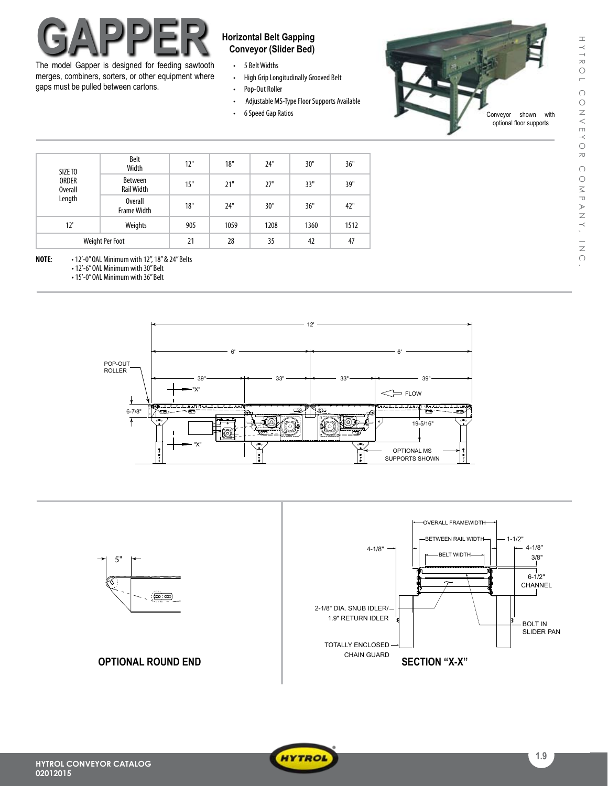# **Horizontal Belt Gapping**<br> **CAPPER Horizontal Belt Gapping**<br> **CAPPER Conveyor** (Slider Bed)

The model Gapper is designed for feeding sawtooth merges, combiners, sorters, or other equipment where gaps must be pulled between cartons.

- • 5 BeltWidths
- over Source Wrams<br>• High Grip Longitudinally Grooved Belt
- • Pop-Out Roller  $\mathbf{r}$
- Adjustable MS-Type Floor Supports Available
	- • 6Speed Gap Ratios



|  | SIZE TO<br><b>ORDER</b><br><b>Overall</b><br>Length | Belt<br>Width                 | 12" | 18"  | 24"  | 30"  | 36"  |
|--|-----------------------------------------------------|-------------------------------|-----|------|------|------|------|
|  |                                                     | Between<br><b>Rail Width</b>  | 15" | 21"  | 27"  | 33"  | 39"  |
|  |                                                     | Overall<br><b>Frame Width</b> | 18" | 24"  | 30"  | 36"  | 42"  |
|  | 12'                                                 | Weights                       | 905 | 1059 | 1208 | 1360 | 1512 |
|  | <b>Weight Per Foot</b>                              |                               | 21  | 28   | 35   | 42   | 47   |

**NOTE**: •12'-0"OAL Minimum with 12",18"& 24"Belts

• 12'-6" OAL Minimum with 30" Belt

• 15'-0" OAL Minimum with 36" Belt